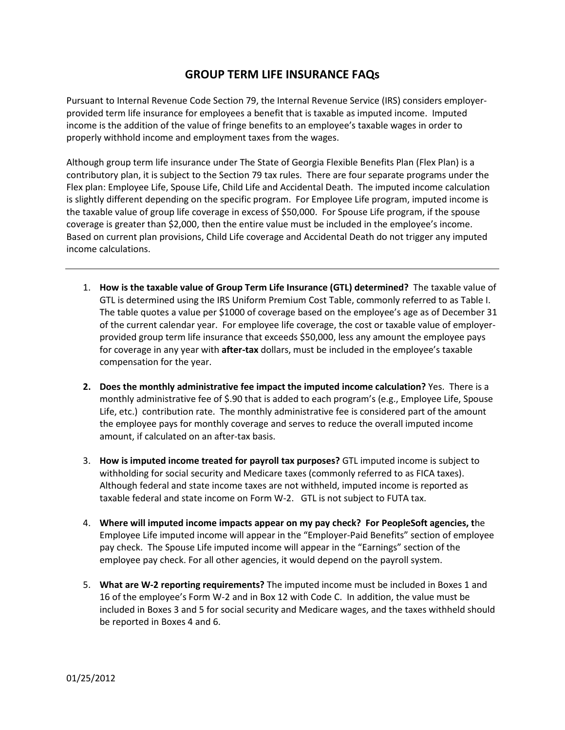## **GROUP TERM LIFE INSURANCE FAQs**

Pursuant to Internal Revenue Code Section 79, the Internal Revenue Service (IRS) considers employerprovided term life insurance for employees a benefit that is taxable as imputed income. Imputed income is the addition of the value of fringe benefits to an employee's taxable wages in order to properly withhold income and employment taxes from the wages.

Although group term life insurance under The State of Georgia Flexible Benefits Plan (Flex Plan) is a contributory plan, it is subject to the Section 79 tax rules. There are four separate programs under the Flex plan: Employee Life, Spouse Life, Child Life and Accidental Death. The imputed income calculation is slightly different depending on the specific program. For Employee Life program, imputed income is the taxable value of group life coverage in excess of \$50,000. For Spouse Life program, if the spouse coverage is greater than \$2,000, then the entire value must be included in the employee's income. Based on current plan provisions, Child Life coverage and Accidental Death do not trigger any imputed income calculations.

- 1. **How is the taxable value of Group Term Life Insurance (GTL) determined?** The taxable value of GTL is determined using the IRS Uniform Premium Cost Table, commonly referred to as Table I. The table quotes a value per \$1000 of coverage based on the employee's age as of December 31 of the current calendar year. For employee life coverage, the cost or taxable value of employerprovided group term life insurance that exceeds \$50,000, less any amount the employee pays for coverage in any year with **after-tax** dollars, must be included in the employee's taxable compensation for the year.
- **2. Does the monthly administrative fee impact the imputed income calculation?** Yes. There is a monthly administrative fee of \$.90 that is added to each program's (e.g., Employee Life, Spouse Life, etc.) contribution rate. The monthly administrative fee is considered part of the amount the employee pays for monthly coverage and serves to reduce the overall imputed income amount, if calculated on an after-tax basis.
- 3. **How is imputed income treated for payroll tax purposes?** GTL imputed income is subject to withholding for social security and Medicare taxes (commonly referred to as FICA taxes). Although federal and state income taxes are not withheld, imputed income is reported as taxable federal and state income on Form W-2. GTL is not subject to FUTA tax.
- 4. **Where will imputed income impacts appear on my pay check? For PeopleSoft agencies, t**he Employee Life imputed income will appear in the "Employer-Paid Benefits" section of employee pay check. The Spouse Life imputed income will appear in the "Earnings" section of the employee pay check. For all other agencies, it would depend on the payroll system.
- 5. **What are W-2 reporting requirements?** The imputed income must be included in Boxes 1 and 16 of the employee's Form W-2 and in Box 12 with Code C. In addition, the value must be included in Boxes 3 and 5 for social security and Medicare wages, and the taxes withheld should be reported in Boxes 4 and 6.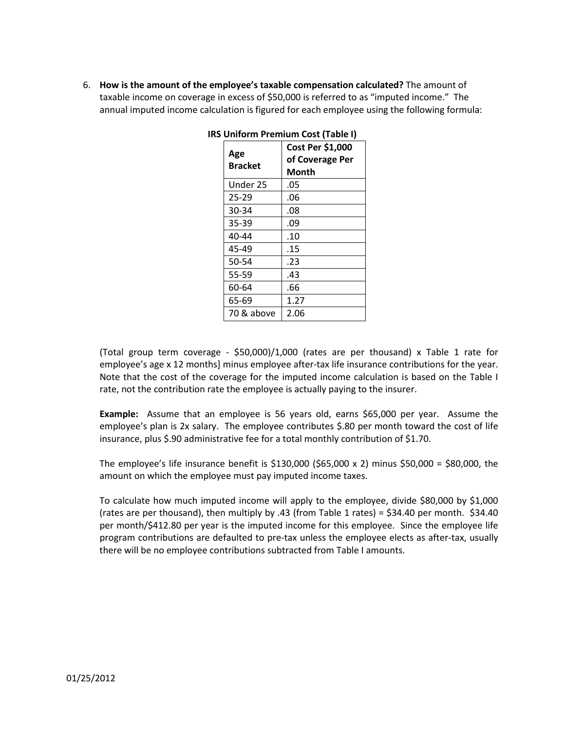6. **How is the amount of the employee's taxable compensation calculated?** The amount of taxable income on coverage in excess of \$50,000 is referred to as "imputed income." The annual imputed income calculation is figured for each employee using the following formula:

| Cost Per \$1,000<br>of Coverage Per<br>Month |
|----------------------------------------------|
| .05                                          |
| .06                                          |
| .08                                          |
| .09                                          |
| .10                                          |
| .15                                          |
| .23                                          |
| .43                                          |
| .66                                          |
| 1.27                                         |
|                                              |
|                                              |

(Total group term coverage - \$50,000)/1,000 (rates are per thousand) x Table 1 rate for employee's age x 12 months] minus employee after-tax life insurance contributions for the year. Note that the cost of the coverage for the imputed income calculation is based on the Table I rate, not the contribution rate the employee is actually paying to the insurer.

**Example:** Assume that an employee is 56 years old, earns \$65,000 per year. Assume the employee's plan is 2x salary. The employee contributes \$.80 per month toward the cost of life insurance, plus \$.90 administrative fee for a total monthly contribution of \$1.70.

The employee's life insurance benefit is \$130,000 (\$65,000 x 2) minus \$50,000 = \$80,000, the amount on which the employee must pay imputed income taxes.

To calculate how much imputed income will apply to the employee, divide \$80,000 by \$1,000 (rates are per thousand), then multiply by .43 (from Table 1 rates) =  $$34.40$  per month.  $$34.40$ per month/\$412.80 per year is the imputed income for this employee. Since the employee life program contributions are defaulted to pre-tax unless the employee elects as after-tax, usually there will be no employee contributions subtracted from Table I amounts.